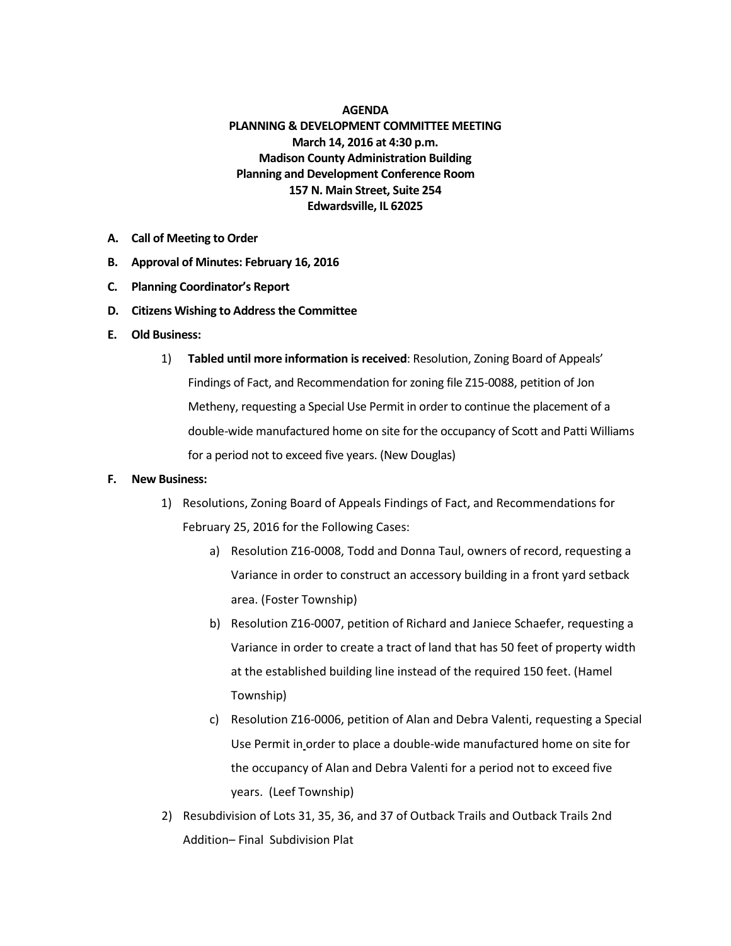## **AGENDA PLANNING & DEVELOPMENT COMMITTEE MEETING March 14, 2016 at 4:30 p.m. Madison County Administration Building Planning and Development Conference Room 157 N. Main Street, Suite 254 Edwardsville, IL 62025**

- **A. Call of Meeting to Order**
- **B. Approval of Minutes: February 16, 2016**
- **C. Planning Coordinator's Report**
- **D. Citizens Wishing to Address the Committee**
- **E. Old Business:**
	- 1) **Tabled until more information is received**: Resolution, Zoning Board of Appeals' Findings of Fact, and Recommendation for zoning file Z15-0088, petition of Jon Metheny, requesting a Special Use Permit in order to continue the placement of a double-wide manufactured home on site for the occupancy of Scott and Patti Williams for a period not to exceed five years. (New Douglas)

## **F. New Business:**

- 1) Resolutions, Zoning Board of Appeals Findings of Fact, and Recommendations for February 25, 2016 for the Following Cases:
	- a) Resolution Z16-0008, Todd and Donna Taul, owners of record, requesting a Variance in order to construct an accessory building in a front yard setback area. (Foster Township)
	- b) Resolution Z16-0007, petition of Richard and Janiece Schaefer, requesting a Variance in order to create a tract of land that has 50 feet of property width at the established building line instead of the required 150 feet. (Hamel Township)
	- c) Resolution Z16-0006, petition of Alan and Debra Valenti, requesting a Special Use Permit in order to place a double-wide manufactured home on site for the occupancy of Alan and Debra Valenti for a period not to exceed five years. (Leef Township)
- 2) Resubdivision of Lots 31, 35, 36, and 37 of Outback Trails and Outback Trails 2nd Addition– Final Subdivision Plat